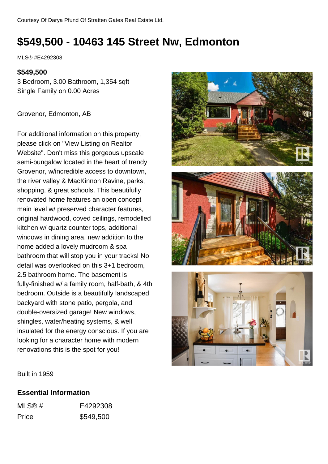# **\$549,500 - 10463 145 Street Nw, Edmonton**

MLS® #E4292308

#### **\$549,500**

3 Bedroom, 3.00 Bathroom, 1,354 sqft Single Family on 0.00 Acres

Grovenor, Edmonton, AB

For additional information on this property, please click on "View Listing on Realtor Website". Don't miss this gorgeous upscale semi-bungalow located in the heart of trendy Grovenor, w/incredible access to downtown, the river valley & MacKinnon Ravine, parks, shopping, & great schools. This beautifully renovated home features an open concept main level w/ preserved character features, original hardwood, coved ceilings, remodelled kitchen w/ quartz counter tops, additional windows in dining area, new addition to the home added a lovely mudroom & spa bathroom that will stop you in your tracks! No detail was overlooked on this 3+1 bedroom, 2.5 bathroom home. The basement is fully-finished w/ a family room, half-bath, & 4th bedroom. Outside is a beautifully landscaped backyard with stone patio, pergola, and double-oversized garage! New windows, shingles, water/heating systems, & well insulated for the energy conscious. If you are looking for a character home with modern renovations this is the spot for you!







Built in 1959

### **Essential Information**

| MLS@# | E4292308  |
|-------|-----------|
| Price | \$549,500 |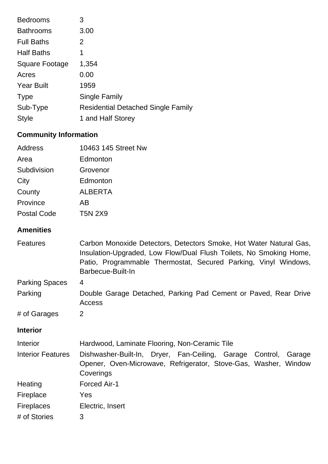| <b>Bedrooms</b>   | 3                                         |
|-------------------|-------------------------------------------|
| <b>Bathrooms</b>  | 3.00                                      |
| <b>Full Baths</b> | 2                                         |
| <b>Half Baths</b> | 1                                         |
| Square Footage    | 1,354                                     |
| Acres             | 0.00                                      |
| <b>Year Built</b> | 1959                                      |
| <b>Type</b>       | Single Family                             |
| Sub-Type          | <b>Residential Detached Single Family</b> |
| <b>Style</b>      | 1 and Half Storey                         |

# **Community Information**

| Address            | 10463 145 Street Nw |
|--------------------|---------------------|
| Area               | Edmonton            |
| Subdivision        | Grovenor            |
| City               | Edmonton            |
| County             | <b>ALBERTA</b>      |
| Province           | AB                  |
| <b>Postal Code</b> | <b>T5N 2X9</b>      |

## **Amenities**

| <b>Features</b>          | Carbon Monoxide Detectors, Detectors Smoke, Hot Water Natural Gas,<br>Insulation-Upgraded, Low Flow/Dual Flush Toilets, No Smoking Home,<br>Patio, Programmable Thermostat, Secured Parking, Vinyl Windows,<br>Barbecue-Built-In |
|--------------------------|----------------------------------------------------------------------------------------------------------------------------------------------------------------------------------------------------------------------------------|
| <b>Parking Spaces</b>    | 4                                                                                                                                                                                                                                |
| Parking                  | Double Garage Detached, Parking Pad Cement or Paved, Rear Drive<br>Access                                                                                                                                                        |
| # of Garages             | 2                                                                                                                                                                                                                                |
| <b>Interior</b>          |                                                                                                                                                                                                                                  |
| Interior                 | Hardwood, Laminate Flooring, Non-Ceramic Tile                                                                                                                                                                                    |
| <b>Interior Features</b> | Dishwasher-Built-In, Dryer, Fan-Ceiling, Garage Control,<br>Garage<br>Opener, Oven-Microwave, Refrigerator, Stove-Gas, Washer, Window<br>Coverings                                                                               |
| Heating                  | Forced Air-1                                                                                                                                                                                                                     |
| Fireplace                | Yes                                                                                                                                                                                                                              |
| <b>Fireplaces</b>        | Electric, Insert                                                                                                                                                                                                                 |
| # of Stories             | 3                                                                                                                                                                                                                                |